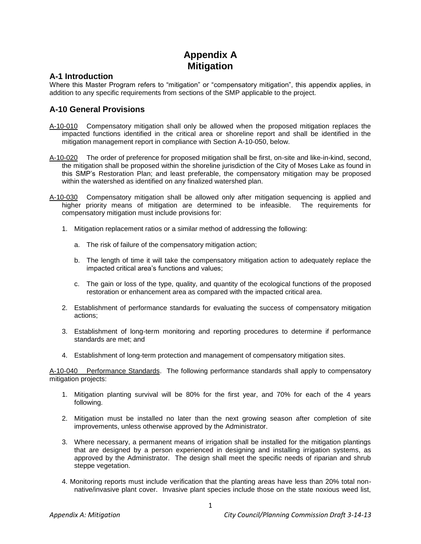## **Appendix A Mitigation**

## **A-1 Introduction**

Where this Master Program refers to "mitigation" or "compensatory mitigation", this appendix applies, in addition to any specific requirements from sections of the SMP applicable to the project.

## **A-10 General Provisions**

- A-10-010 Compensatory mitigation shall only be allowed when the proposed mitigation replaces the impacted functions identified in the critical area or shoreline report and shall be identified in the mitigation management report in compliance with Section A-10-050, below.
- A-10-020 The order of preference for proposed mitigation shall be first, on-site and like-in-kind, second, the mitigation shall be proposed within the shoreline jurisdiction of the City of Moses Lake as found in this SMP's Restoration Plan; and least preferable, the compensatory mitigation may be proposed within the watershed as identified on any finalized watershed plan.
- A-10-030 Compensatory mitigation shall be allowed only after mitigation sequencing is applied and higher priority means of mitigation are determined to be infeasible. The requirements for compensatory mitigation must include provisions for:
	- 1. Mitigation replacement ratios or a similar method of addressing the following:
		- a. The risk of failure of the compensatory mitigation action;
		- b. The length of time it will take the compensatory mitigation action to adequately replace the impacted critical area's functions and values;
		- c. The gain or loss of the type, quality, and quantity of the ecological functions of the proposed restoration or enhancement area as compared with the impacted critical area.
	- 2. Establishment of performance standards for evaluating the success of compensatory mitigation actions;
	- 3. Establishment of long-term monitoring and reporting procedures to determine if performance standards are met; and
	- 4. Establishment of long-term protection and management of compensatory mitigation sites.

A-10-040 Performance Standards. The following performance standards shall apply to compensatory mitigation projects:

- 1. Mitigation planting survival will be 80% for the first year, and 70% for each of the 4 years following.
- 2. Mitigation must be installed no later than the next growing season after completion of site improvements, unless otherwise approved by the Administrator.
- 3. Where necessary, a permanent means of irrigation shall be installed for the mitigation plantings that are designed by a person experienced in designing and installing irrigation systems, as approved by the Administrator. The design shall meet the specific needs of riparian and shrub steppe vegetation.
- 4. Monitoring reports must include verification that the planting areas have less than 20% total nonnative/invasive plant cover. Invasive plant species include those on the state noxious weed list,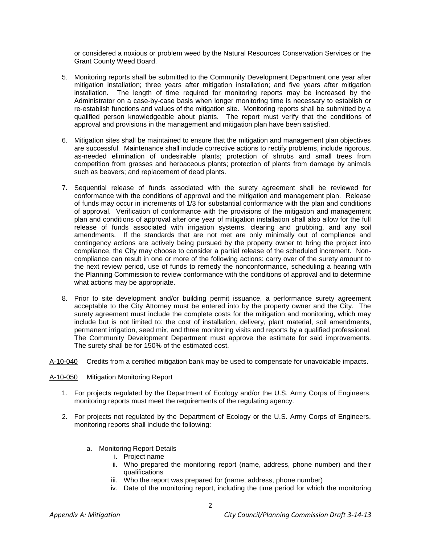or considered a noxious or problem weed by the Natural Resources Conservation Services or the Grant County Weed Board.

- 5. Monitoring reports shall be submitted to the Community Development Department one year after mitigation installation; three years after mitigation installation; and five years after mitigation installation. The length of time required for monitoring reports may be increased by the Administrator on a case-by-case basis when longer monitoring time is necessary to establish or re-establish functions and values of the mitigation site. Monitoring reports shall be submitted by a qualified person knowledgeable about plants. The report must verify that the conditions of approval and provisions in the management and mitigation plan have been satisfied.
- 6. Mitigation sites shall be maintained to ensure that the mitigation and management plan objectives are successful. Maintenance shall include corrective actions to rectify problems, include rigorous, as-needed elimination of undesirable plants; protection of shrubs and small trees from competition from grasses and herbaceous plants; protection of plants from damage by animals such as beavers; and replacement of dead plants.
- 7. Sequential release of funds associated with the surety agreement shall be reviewed for conformance with the conditions of approval and the mitigation and management plan. Release of funds may occur in increments of 1/3 for substantial conformance with the plan and conditions of approval. Verification of conformance with the provisions of the mitigation and management plan and conditions of approval after one year of mitigation installation shall also allow for the full release of funds associated with irrigation systems, clearing and grubbing, and any soil amendments. If the standards that are not met are only minimally out of compliance and contingency actions are actively being pursued by the property owner to bring the project into compliance, the City may choose to consider a partial release of the scheduled increment. Noncompliance can result in one or more of the following actions: carry over of the surety amount to the next review period, use of funds to remedy the nonconformance, scheduling a hearing with the Planning Commission to review conformance with the conditions of approval and to determine what actions may be appropriate.
- 8. Prior to site development and/or building permit issuance, a performance surety agreement acceptable to the City Attorney must be entered into by the property owner and the City. The surety agreement must include the complete costs for the mitigation and monitoring, which may include but is not limited to: the cost of installation, delivery, plant material, soil amendments, permanent irrigation, seed mix, and three monitoring visits and reports by a qualified professional. The Community Development Department must approve the estimate for said improvements. The surety shall be for 150% of the estimated cost.
- A-10-040 Credits from a certified mitigation bank may be used to compensate for unavoidable impacts.
- A-10-050 Mitigation Monitoring Report
	- 1. For projects regulated by the Department of Ecology and/or the U.S. Army Corps of Engineers, monitoring reports must meet the requirements of the regulating agency.
	- 2. For projects not regulated by the Department of Ecology or the U.S. Army Corps of Engineers, monitoring reports shall include the following:
		- a. Monitoring Report Details
			- i. Project name
			- ii. Who prepared the monitoring report (name, address, phone number) and their qualifications
			- iii. Who the report was prepared for (name, address, phone number)
			- iv. Date of the monitoring report, including the time period for which the monitoring